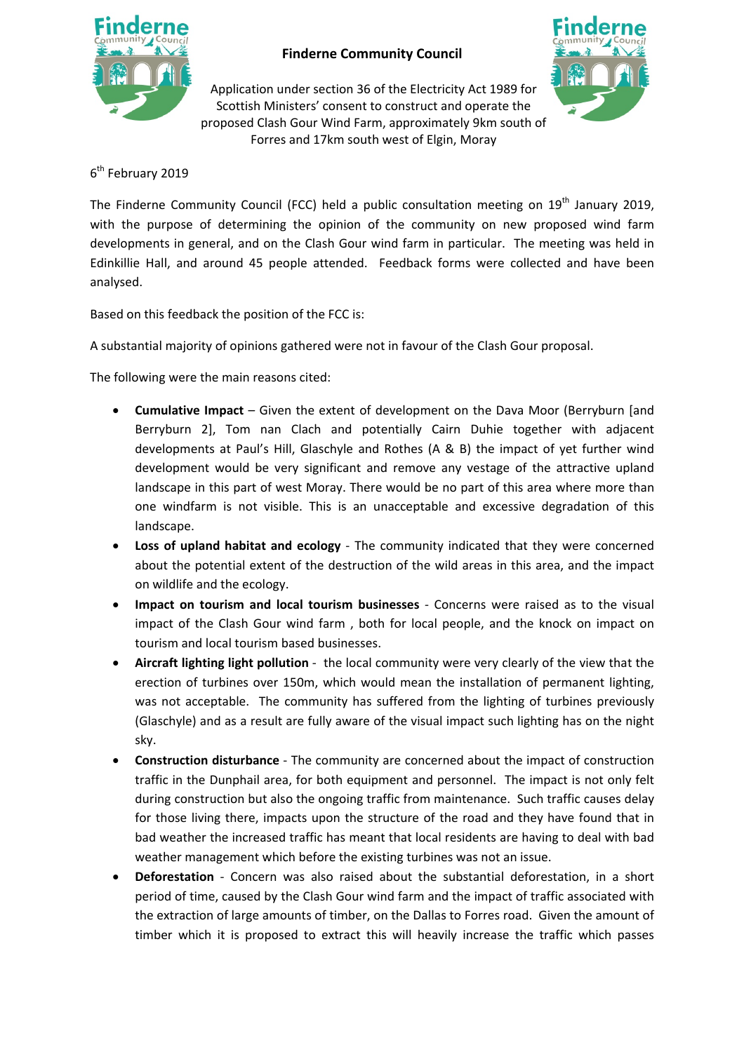

## **Finderne Community Council**

Application under section 36 of the Electricity Act 1989 for Scottish Ministers' consent to construct and operate the proposed Clash Gour Wind Farm, approximately 9km south of Forres and 17km south west of Elgin, Moray



## 6<sup>th</sup> February 2019

The Finderne Community Council (FCC) held a public consultation meeting on  $19<sup>th</sup>$  January 2019, with the purpose of determining the opinion of the community on new proposed wind farm developments in general, and on the Clash Gour wind farm in particular. The meeting was held in Edinkillie Hall, and around 45 people attended. Feedback forms were collected and have been analysed.

Based on this feedback the position of the FCC is:

A substantial majority of opinions gathered were not in favour of the Clash Gour proposal.

The following were the main reasons cited:

- **Cumulative Impact** Given the extent of development on the Dava Moor (Berryburn [and Berryburn 2], Tom nan Clach and potentially Cairn Duhie together with adjacent developments at Paul's Hill, Glaschyle and Rothes (A & B) the impact of yet further wind development would be very significant and remove any vestage of the attractive upland landscape in this part of west Moray. There would be no part of this area where more than one windfarm is not visible. This is an unacceptable and excessive degradation of this landscape.
- **Loss of upland habitat and ecology** ‐ The community indicated that they were concerned about the potential extent of the destruction of the wild areas in this area, and the impact on wildlife and the ecology.
- **Impact on tourism and local tourism businesses** ‐ Concerns were raised as to the visual impact of the Clash Gour wind farm , both for local people, and the knock on impact on tourism and local tourism based businesses.
- **Aircraft lighting light pollution** ‐ the local community were very clearly of the view that the erection of turbines over 150m, which would mean the installation of permanent lighting, was not acceptable. The community has suffered from the lighting of turbines previously (Glaschyle) and as a result are fully aware of the visual impact such lighting has on the night sky.
- **Construction disturbance** ‐ The community are concerned about the impact of construction traffic in the Dunphail area, for both equipment and personnel. The impact is not only felt during construction but also the ongoing traffic from maintenance. Such traffic causes delay for those living there, impacts upon the structure of the road and they have found that in bad weather the increased traffic has meant that local residents are having to deal with bad weather management which before the existing turbines was not an issue.
- **•** Deforestation Concern was also raised about the substantial deforestation, in a short period of time, caused by the Clash Gour wind farm and the impact of traffic associated with the extraction of large amounts of timber, on the Dallas to Forres road. Given the amount of timber which it is proposed to extract this will heavily increase the traffic which passes